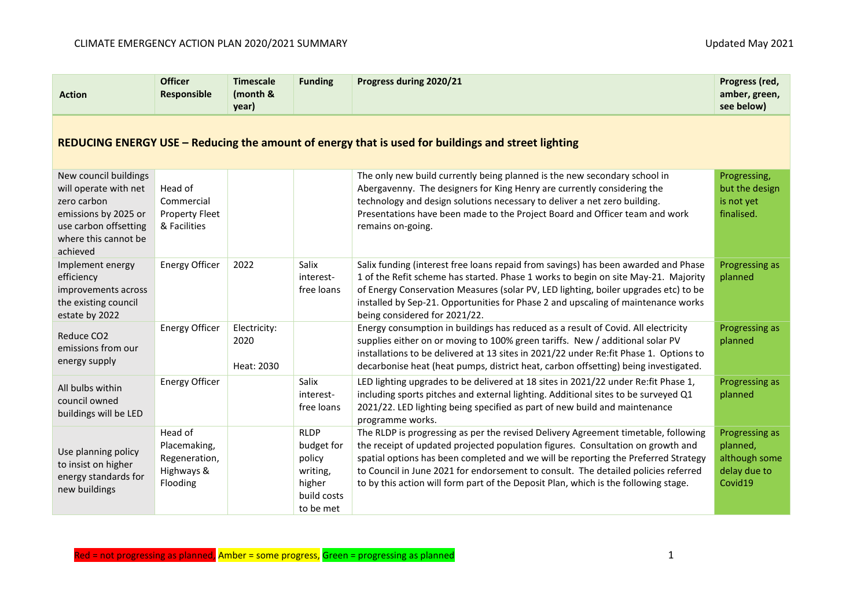| <b>Action</b>                                                                                                                                      | <b>Officer</b><br>Responsible                                      | <b>Timescale</b><br>(month &<br>year) | <b>Funding</b>                                                                        | Progress during 2020/21                                                                                                                                                                                                                                                                                                                                                                                                                  | Progress (red,<br>amber, green,<br>see below)                          |  |  |  |
|----------------------------------------------------------------------------------------------------------------------------------------------------|--------------------------------------------------------------------|---------------------------------------|---------------------------------------------------------------------------------------|------------------------------------------------------------------------------------------------------------------------------------------------------------------------------------------------------------------------------------------------------------------------------------------------------------------------------------------------------------------------------------------------------------------------------------------|------------------------------------------------------------------------|--|--|--|
| REDUCING ENERGY USE – Reducing the amount of energy that is used for buildings and street lighting                                                 |                                                                    |                                       |                                                                                       |                                                                                                                                                                                                                                                                                                                                                                                                                                          |                                                                        |  |  |  |
| New council buildings<br>will operate with net<br>zero carbon<br>emissions by 2025 or<br>use carbon offsetting<br>where this cannot be<br>achieved | Head of<br>Commercial<br><b>Property Fleet</b><br>& Facilities     |                                       |                                                                                       | The only new build currently being planned is the new secondary school in<br>Abergavenny. The designers for King Henry are currently considering the<br>technology and design solutions necessary to deliver a net zero building.<br>Presentations have been made to the Project Board and Officer team and work<br>remains on-going.                                                                                                    | Progressing,<br>but the design<br>is not yet<br>finalised.             |  |  |  |
| Implement energy<br>efficiency<br>improvements across<br>the existing council<br>estate by 2022                                                    | <b>Energy Officer</b>                                              | 2022                                  | Salix<br>interest-<br>free loans                                                      | Salix funding (interest free loans repaid from savings) has been awarded and Phase<br>1 of the Refit scheme has started. Phase 1 works to begin on site May-21. Majority<br>of Energy Conservation Measures (solar PV, LED lighting, boiler upgrades etc) to be<br>installed by Sep-21. Opportunities for Phase 2 and upscaling of maintenance works<br>being considered for 2021/22.                                                    | Progressing as<br>planned                                              |  |  |  |
| Reduce CO <sub>2</sub><br>emissions from our<br>energy supply                                                                                      | <b>Energy Officer</b>                                              | Electricity:<br>2020<br>Heat: 2030    |                                                                                       | Energy consumption in buildings has reduced as a result of Covid. All electricity<br>supplies either on or moving to 100% green tariffs. New / additional solar PV<br>installations to be delivered at 13 sites in 2021/22 under Re:fit Phase 1. Options to<br>decarbonise heat (heat pumps, district heat, carbon offsetting) being investigated.                                                                                       | Progressing as<br>planned                                              |  |  |  |
| All bulbs within<br>council owned<br>buildings will be LED                                                                                         | <b>Energy Officer</b>                                              |                                       | Salix<br>interest-<br>free loans                                                      | LED lighting upgrades to be delivered at 18 sites in 2021/22 under Re:fit Phase 1,<br>including sports pitches and external lighting. Additional sites to be surveyed Q1<br>2021/22. LED lighting being specified as part of new build and maintenance<br>programme works.                                                                                                                                                               | Progressing as<br>planned                                              |  |  |  |
| Use planning policy<br>to insist on higher<br>energy standards for<br>new buildings                                                                | Head of<br>Placemaking,<br>Regeneration,<br>Highways &<br>Flooding |                                       | <b>RLDP</b><br>budget for<br>policy<br>writing,<br>higher<br>build costs<br>to be met | The RLDP is progressing as per the revised Delivery Agreement timetable, following<br>the receipt of updated projected population figures. Consultation on growth and<br>spatial options has been completed and we will be reporting the Preferred Strategy<br>to Council in June 2021 for endorsement to consult. The detailed policies referred<br>to by this action will form part of the Deposit Plan, which is the following stage. | Progressing as<br>planned,<br>although some<br>delay due to<br>Covid19 |  |  |  |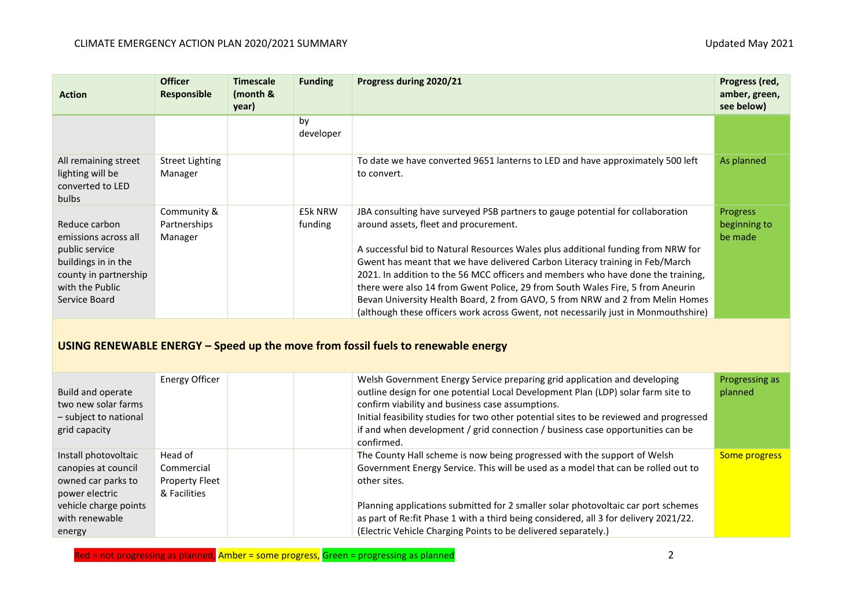| <b>Action</b>                                                                                                                               | <b>Officer</b><br>Responsible          | <b>Timescale</b><br>(month &<br>year) | <b>Funding</b>     | Progress during 2020/21                                                                                                                                                                                                                                                                                                                                                                                                                                                                                                                                                                                                                  | Progress (red,<br>amber, green,<br>see below) |  |
|---------------------------------------------------------------------------------------------------------------------------------------------|----------------------------------------|---------------------------------------|--------------------|------------------------------------------------------------------------------------------------------------------------------------------------------------------------------------------------------------------------------------------------------------------------------------------------------------------------------------------------------------------------------------------------------------------------------------------------------------------------------------------------------------------------------------------------------------------------------------------------------------------------------------------|-----------------------------------------------|--|
|                                                                                                                                             |                                        |                                       | by<br>developer    |                                                                                                                                                                                                                                                                                                                                                                                                                                                                                                                                                                                                                                          |                                               |  |
| All remaining street<br>lighting will be<br>converted to LED<br>bulbs                                                                       | <b>Street Lighting</b><br>Manager      |                                       |                    | To date we have converted 9651 lanterns to LED and have approximately 500 left<br>to convert.                                                                                                                                                                                                                                                                                                                                                                                                                                                                                                                                            | As planned                                    |  |
| Reduce carbon<br>emissions across all<br>public service<br>buildings in in the<br>county in partnership<br>with the Public<br>Service Board | Community &<br>Partnerships<br>Manager |                                       | £5k NRW<br>funding | JBA consulting have surveyed PSB partners to gauge potential for collaboration<br>around assets, fleet and procurement.<br>A successful bid to Natural Resources Wales plus additional funding from NRW for<br>Gwent has meant that we have delivered Carbon Literacy training in Feb/March<br>2021. In addition to the 56 MCC officers and members who have done the training,<br>there were also 14 from Gwent Police, 29 from South Wales Fire, 5 from Aneurin<br>Bevan University Health Board, 2 from GAVO, 5 from NRW and 2 from Melin Homes<br>(although these officers work across Gwent, not necessarily just in Monmouthshire) | <b>Progress</b><br>beginning to<br>be made    |  |
| USING RENEWABLE ENERGY - Speed up the move from fossil fuels to renewable energy                                                            |                                        |                                       |                    |                                                                                                                                                                                                                                                                                                                                                                                                                                                                                                                                                                                                                                          |                                               |  |
| Build and operate<br>two new solar farms<br>- subject to national<br>grid capacity                                                          | <b>Energy Officer</b>                  |                                       |                    | Welsh Government Energy Service preparing grid application and developing<br>outline design for one potential Local Development Plan (LDP) solar farm site to<br>confirm viability and business case assumptions.<br>Initial feasibility studies for two other potential sites to be reviewed and progressed<br>if and when development / grid connection / business case opportunities can be<br>confirmed                                                                                                                                                                                                                              | Progressing as<br>planned                     |  |

|                       |                | confirmed.                                                                            |               |
|-----------------------|----------------|---------------------------------------------------------------------------------------|---------------|
| Install photovoltaic  | Head of        | The County Hall scheme is now being progressed with the support of Welsh              | Some progress |
| canopies at council   | Commercial     | Government Energy Service. This will be used as a model that can be rolled out to     |               |
| owned car parks to    | Property Fleet | other sites.                                                                          |               |
| power electric        | & Facilities   |                                                                                       |               |
| vehicle charge points |                | Planning applications submitted for 2 smaller solar photovoltaic car port schemes     |               |
| with renewable        |                | as part of Re: fit Phase 1 with a third being considered, all 3 for delivery 2021/22. |               |
| energy                |                | (Electric Vehicle Charging Points to be delivered separately.)                        |               |

Red = not progressing as planned, Amber = some progress, Green = progressing as planned 2 and 2 and 2 and 2 and 2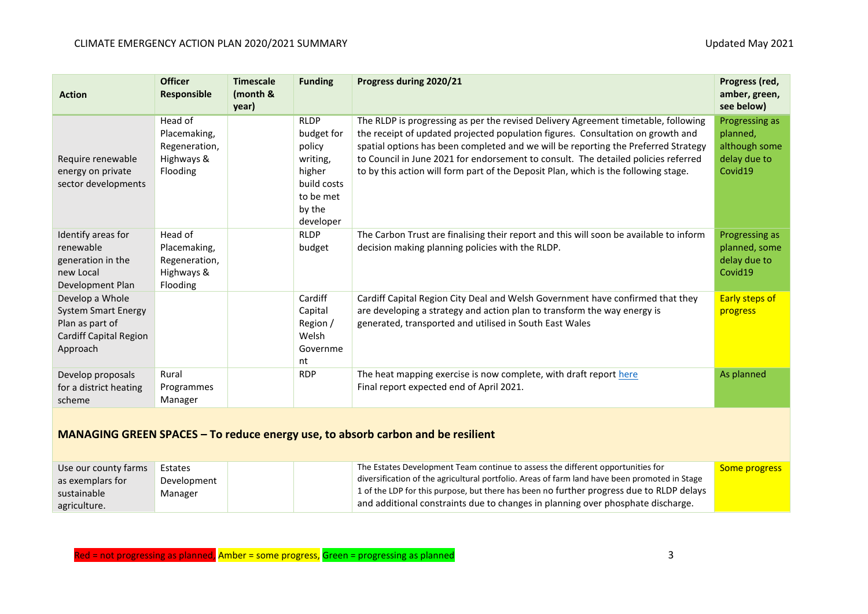| <b>Action</b>                                                                                                 | <b>Officer</b><br>Responsible                                      | <b>Timescale</b><br>(month &<br>year) | <b>Funding</b>                                                                                               | Progress during 2020/21                                                                                                                                                                                                                                                                                                                                                                                                                  | Progress (red,<br>amber, green,<br>see below)                          |  |  |
|---------------------------------------------------------------------------------------------------------------|--------------------------------------------------------------------|---------------------------------------|--------------------------------------------------------------------------------------------------------------|------------------------------------------------------------------------------------------------------------------------------------------------------------------------------------------------------------------------------------------------------------------------------------------------------------------------------------------------------------------------------------------------------------------------------------------|------------------------------------------------------------------------|--|--|
| Require renewable<br>energy on private<br>sector developments                                                 | Head of<br>Placemaking,<br>Regeneration,<br>Highways &<br>Flooding |                                       | <b>RLDP</b><br>budget for<br>policy<br>writing,<br>higher<br>build costs<br>to be met<br>by the<br>developer | The RLDP is progressing as per the revised Delivery Agreement timetable, following<br>the receipt of updated projected population figures. Consultation on growth and<br>spatial options has been completed and we will be reporting the Preferred Strategy<br>to Council in June 2021 for endorsement to consult. The detailed policies referred<br>to by this action will form part of the Deposit Plan, which is the following stage. | Progressing as<br>planned,<br>although some<br>delay due to<br>Covid19 |  |  |
| Identify areas for<br>renewable<br>generation in the<br>new Local<br>Development Plan                         | Head of<br>Placemaking,<br>Regeneration,<br>Highways &<br>Flooding |                                       | <b>RLDP</b><br>budget                                                                                        | The Carbon Trust are finalising their report and this will soon be available to inform<br>decision making planning policies with the RLDP.                                                                                                                                                                                                                                                                                               | Progressing as<br>planned, some<br>delay due to<br>Covid19             |  |  |
| Develop a Whole<br><b>System Smart Energy</b><br>Plan as part of<br><b>Cardiff Capital Region</b><br>Approach |                                                                    |                                       | Cardiff<br>Capital<br>Region /<br>Welsh<br>Governme<br>nt                                                    | Cardiff Capital Region City Deal and Welsh Government have confirmed that they<br>are developing a strategy and action plan to transform the way energy is<br>generated, transported and utilised in South East Wales                                                                                                                                                                                                                    | <b>Early steps of</b><br>progress                                      |  |  |
| Develop proposals<br>for a district heating<br>scheme                                                         | Rural<br>Programmes<br>Manager                                     |                                       | <b>RDP</b>                                                                                                   | The heat mapping exercise is now complete, with draft report here<br>Final report expected end of April 2021.                                                                                                                                                                                                                                                                                                                            | As planned                                                             |  |  |
| MANAGING GREEN SPACES - To reduce energy use, to absorb carbon and be resilient                               |                                                                    |                                       |                                                                                                              |                                                                                                                                                                                                                                                                                                                                                                                                                                          |                                                                        |  |  |

| Use our county farms | Estates     | The Estates Development Team continue to assess the different opportunities for                     | <b>Some progress</b> |
|----------------------|-------------|-----------------------------------------------------------------------------------------------------|----------------------|
| as exemplars for     | Development | $\pm$ diversification of the agricultural portfolio. Areas of farm land have been promoted in Stage |                      |
| sustainable          | Manager     | $\pm$ 1 of the LDP for this purpose, but there has been no further progress due to RLDP delays      |                      |
| agriculture.         |             | and additional constraints due to changes in planning over phosphate discharge.                     |                      |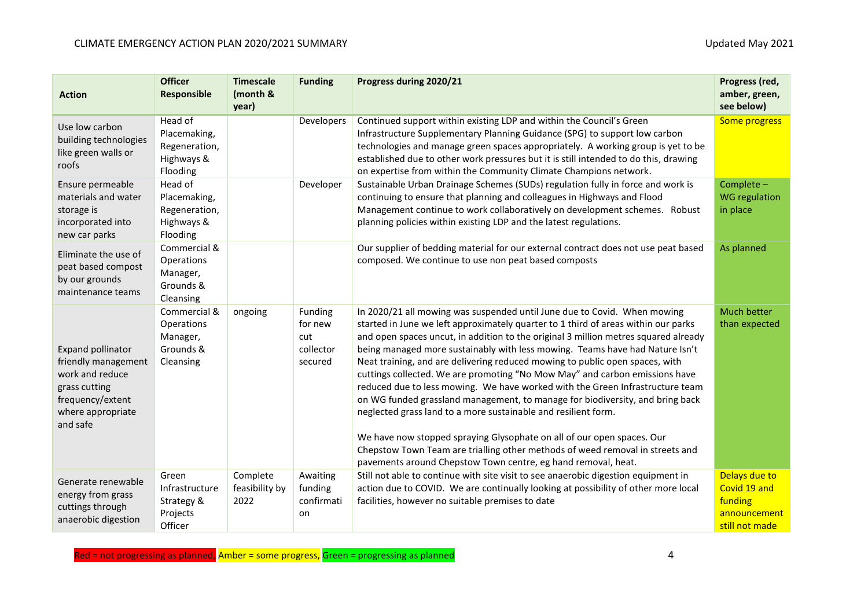| <b>Action</b>                                                                                                                            | <b>Officer</b><br>Responsible                                      | <b>Timescale</b><br>(month &<br>year) | <b>Funding</b>                                    | Progress during 2020/21                                                                                                                                                                                                                                                                                                                                                                                                                                                                                                                                                                                                                                                                                                                                                                                                                                                                                                                                              | Progress (red,<br>amber, green,<br>see below)                              |
|------------------------------------------------------------------------------------------------------------------------------------------|--------------------------------------------------------------------|---------------------------------------|---------------------------------------------------|----------------------------------------------------------------------------------------------------------------------------------------------------------------------------------------------------------------------------------------------------------------------------------------------------------------------------------------------------------------------------------------------------------------------------------------------------------------------------------------------------------------------------------------------------------------------------------------------------------------------------------------------------------------------------------------------------------------------------------------------------------------------------------------------------------------------------------------------------------------------------------------------------------------------------------------------------------------------|----------------------------------------------------------------------------|
| Use low carbon<br>building technologies<br>like green walls or<br>roofs                                                                  | Head of<br>Placemaking,<br>Regeneration,<br>Highways &<br>Flooding |                                       | Developers                                        | Continued support within existing LDP and within the Council's Green<br>Infrastructure Supplementary Planning Guidance (SPG) to support low carbon<br>technologies and manage green spaces appropriately. A working group is yet to be<br>established due to other work pressures but it is still intended to do this, drawing<br>on expertise from within the Community Climate Champions network.                                                                                                                                                                                                                                                                                                                                                                                                                                                                                                                                                                  | Some progress                                                              |
| Ensure permeable<br>materials and water<br>storage is<br>incorporated into<br>new car parks                                              | Head of<br>Placemaking,<br>Regeneration,<br>Highways &<br>Flooding |                                       | Developer                                         | Sustainable Urban Drainage Schemes (SUDs) regulation fully in force and work is<br>continuing to ensure that planning and colleagues in Highways and Flood<br>Management continue to work collaboratively on development schemes. Robust<br>planning policies within existing LDP and the latest regulations.                                                                                                                                                                                                                                                                                                                                                                                                                                                                                                                                                                                                                                                        | Complete -<br><b>WG regulation</b><br>in place                             |
| Eliminate the use of<br>peat based compost<br>by our grounds<br>maintenance teams                                                        | Commercial &<br>Operations<br>Manager,<br>Grounds &<br>Cleansing   |                                       |                                                   | Our supplier of bedding material for our external contract does not use peat based<br>composed. We continue to use non peat based composts                                                                                                                                                                                                                                                                                                                                                                                                                                                                                                                                                                                                                                                                                                                                                                                                                           | As planned                                                                 |
| <b>Expand pollinator</b><br>friendly management<br>work and reduce<br>grass cutting<br>frequency/extent<br>where appropriate<br>and safe | Commercial &<br>Operations<br>Manager,<br>Grounds &<br>Cleansing   | ongoing                               | Funding<br>for new<br>cut<br>collector<br>secured | In 2020/21 all mowing was suspended until June due to Covid. When mowing<br>started in June we left approximately quarter to 1 third of areas within our parks<br>and open spaces uncut, in addition to the original 3 million metres squared already<br>being managed more sustainably with less mowing. Teams have had Nature Isn't<br>Neat training, and are delivering reduced mowing to public open spaces, with<br>cuttings collected. We are promoting "No Mow May" and carbon emissions have<br>reduced due to less mowing. We have worked with the Green Infrastructure team<br>on WG funded grassland management, to manage for biodiversity, and bring back<br>neglected grass land to a more sustainable and resilient form.<br>We have now stopped spraying Glysophate on all of our open spaces. Our<br>Chepstow Town Team are trialling other methods of weed removal in streets and<br>pavements around Chepstow Town centre, eg hand removal, heat. | Much better<br>than expected                                               |
| Generate renewable<br>energy from grass<br>cuttings through<br>anaerobic digestion                                                       | Green<br>Infrastructure<br>Strategy &<br>Projects<br>Officer       | Complete<br>feasibility by<br>2022    | Awaiting<br>funding<br>confirmati<br>on           | Still not able to continue with site visit to see anaerobic digestion equipment in<br>action due to COVID. We are continually looking at possibility of other more local<br>facilities, however no suitable premises to date                                                                                                                                                                                                                                                                                                                                                                                                                                                                                                                                                                                                                                                                                                                                         | Delays due to<br>Covid 19 and<br>funding<br>announcement<br>still not made |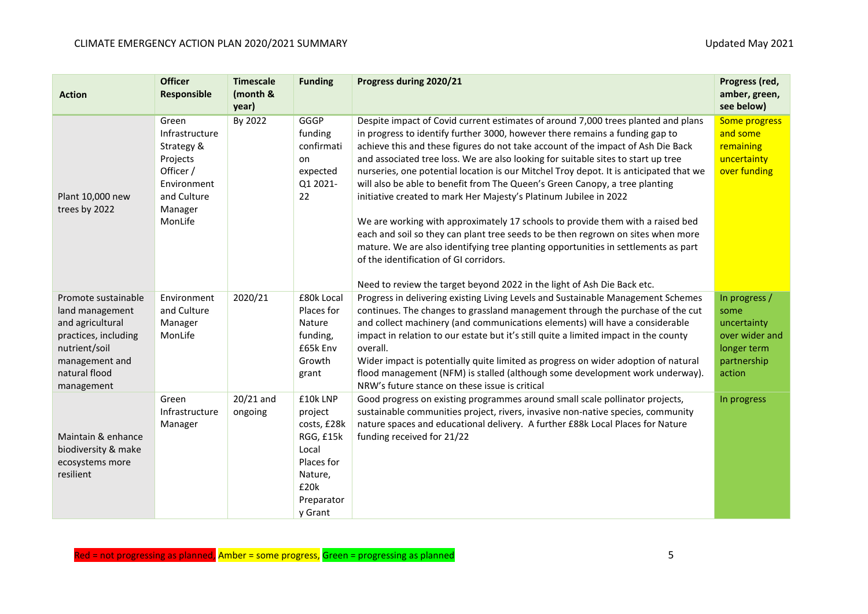| <b>Action</b>                                                                                                                                        | <b>Officer</b><br>Responsible                                                                                      | <b>Timescale</b><br>(month &<br>year) | <b>Funding</b>                                                                                                     | Progress during 2020/21                                                                                                                                                                                                                                                                                                                                                                                                                                                                                                                                                                                                                                                                                                                                                                                                                                                                                                                                                   | Progress (red,<br>amber, green,<br>see below)                                                  |
|------------------------------------------------------------------------------------------------------------------------------------------------------|--------------------------------------------------------------------------------------------------------------------|---------------------------------------|--------------------------------------------------------------------------------------------------------------------|---------------------------------------------------------------------------------------------------------------------------------------------------------------------------------------------------------------------------------------------------------------------------------------------------------------------------------------------------------------------------------------------------------------------------------------------------------------------------------------------------------------------------------------------------------------------------------------------------------------------------------------------------------------------------------------------------------------------------------------------------------------------------------------------------------------------------------------------------------------------------------------------------------------------------------------------------------------------------|------------------------------------------------------------------------------------------------|
| Plant 10,000 new<br>trees by 2022                                                                                                                    | Green<br>Infrastructure<br>Strategy &<br>Projects<br>Officer /<br>Environment<br>and Culture<br>Manager<br>MonLife | By 2022                               | GGGP<br>funding<br>confirmati<br>on<br>expected<br>Q1 2021-<br>22                                                  | Despite impact of Covid current estimates of around 7,000 trees planted and plans<br>in progress to identify further 3000, however there remains a funding gap to<br>achieve this and these figures do not take account of the impact of Ash Die Back<br>and associated tree loss. We are also looking for suitable sites to start up tree<br>nurseries, one potential location is our Mitchel Troy depot. It is anticipated that we<br>will also be able to benefit from The Queen's Green Canopy, a tree planting<br>initiative created to mark Her Majesty's Platinum Jubilee in 2022<br>We are working with approximately 17 schools to provide them with a raised bed<br>each and soil so they can plant tree seeds to be then regrown on sites when more<br>mature. We are also identifying tree planting opportunities in settlements as part<br>of the identification of GI corridors.<br>Need to review the target beyond 2022 in the light of Ash Die Back etc. | Some progress<br>and some<br>remaining<br>uncertainty<br>over funding                          |
| Promote sustainable<br>land management<br>and agricultural<br>practices, including<br>nutrient/soil<br>management and<br>natural flood<br>management | Environment<br>and Culture<br>Manager<br>MonLife                                                                   | 2020/21                               | £80k Local<br>Places for<br>Nature<br>funding,<br>£65k Env<br>Growth<br>grant                                      | Progress in delivering existing Living Levels and Sustainable Management Schemes<br>continues. The changes to grassland management through the purchase of the cut<br>and collect machinery (and communications elements) will have a considerable<br>impact in relation to our estate but it's still quite a limited impact in the county<br>overall.<br>Wider impact is potentially quite limited as progress on wider adoption of natural<br>flood management (NFM) is stalled (although some development work underway).<br>NRW's future stance on these issue is critical                                                                                                                                                                                                                                                                                                                                                                                            | In progress /<br>some<br>uncertainty<br>over wider and<br>longer term<br>partnership<br>action |
| Maintain & enhance<br>biodiversity & make<br>ecosystems more<br>resilient                                                                            | Green<br>Infrastructure<br>Manager                                                                                 | $20/21$ and<br>ongoing                | £10k LNP<br>project<br>costs, £28k<br>RGG, £15k<br>Local<br>Places for<br>Nature,<br>£20k<br>Preparator<br>y Grant | Good progress on existing programmes around small scale pollinator projects,<br>sustainable communities project, rivers, invasive non-native species, community<br>nature spaces and educational delivery. A further £88k Local Places for Nature<br>funding received for 21/22                                                                                                                                                                                                                                                                                                                                                                                                                                                                                                                                                                                                                                                                                           | In progress                                                                                    |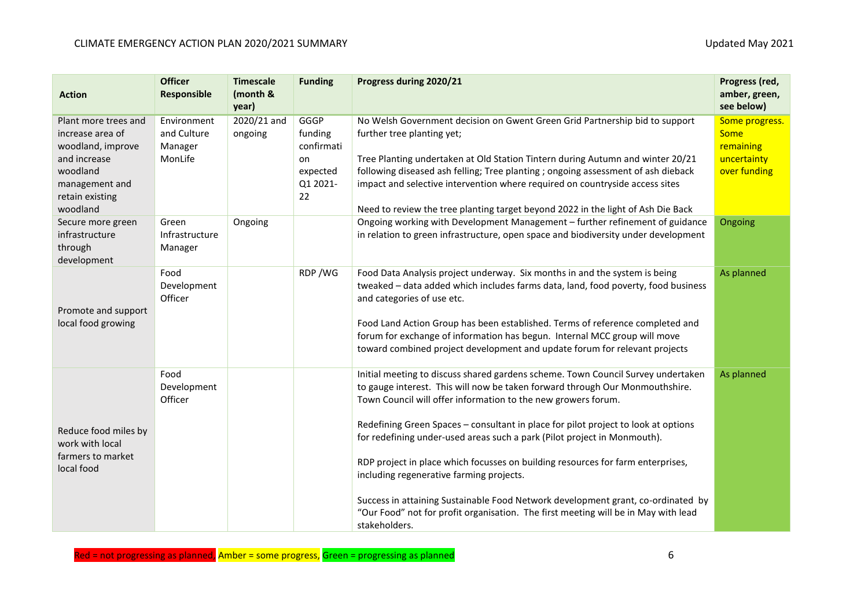| <b>Action</b>                                                                                                                              | <b>Officer</b><br>Responsible                    | <b>Timescale</b><br>(month &<br>year) | <b>Funding</b>                                                    | Progress during 2020/21                                                                                                                                                                                                                                                                                                                                                                                                                                                                                                                                                                                                                                                                                                       | Progress (red,<br>amber, green,<br>see below)                             |
|--------------------------------------------------------------------------------------------------------------------------------------------|--------------------------------------------------|---------------------------------------|-------------------------------------------------------------------|-------------------------------------------------------------------------------------------------------------------------------------------------------------------------------------------------------------------------------------------------------------------------------------------------------------------------------------------------------------------------------------------------------------------------------------------------------------------------------------------------------------------------------------------------------------------------------------------------------------------------------------------------------------------------------------------------------------------------------|---------------------------------------------------------------------------|
| Plant more trees and<br>increase area of<br>woodland, improve<br>and increase<br>woodland<br>management and<br>retain existing<br>woodland | Environment<br>and Culture<br>Manager<br>MonLife | 2020/21 and<br>ongoing                | GGGP<br>funding<br>confirmati<br>on<br>expected<br>Q1 2021-<br>22 | No Welsh Government decision on Gwent Green Grid Partnership bid to support<br>further tree planting yet;<br>Tree Planting undertaken at Old Station Tintern during Autumn and winter 20/21<br>following diseased ash felling; Tree planting ; ongoing assessment of ash dieback<br>impact and selective intervention where required on countryside access sites<br>Need to review the tree planting target beyond 2022 in the light of Ash Die Back                                                                                                                                                                                                                                                                          | Some progress.<br><b>Some</b><br>remaining<br>uncertainty<br>over funding |
| Secure more green<br>infrastructure<br>through<br>development                                                                              | Green<br>Infrastructure<br>Manager               | Ongoing                               |                                                                   | Ongoing working with Development Management - further refinement of guidance<br>in relation to green infrastructure, open space and biodiversity under development                                                                                                                                                                                                                                                                                                                                                                                                                                                                                                                                                            | Ongoing                                                                   |
| Promote and support<br>local food growing                                                                                                  | Food<br>Development<br>Officer                   |                                       | RDP/WG                                                            | Food Data Analysis project underway. Six months in and the system is being<br>tweaked - data added which includes farms data, land, food poverty, food business<br>and categories of use etc.<br>Food Land Action Group has been established. Terms of reference completed and<br>forum for exchange of information has begun. Internal MCC group will move<br>toward combined project development and update forum for relevant projects                                                                                                                                                                                                                                                                                     | As planned                                                                |
| Reduce food miles by<br>work with local<br>farmers to market<br>local food                                                                 | Food<br>Development<br>Officer                   |                                       |                                                                   | Initial meeting to discuss shared gardens scheme. Town Council Survey undertaken<br>to gauge interest. This will now be taken forward through Our Monmouthshire.<br>Town Council will offer information to the new growers forum.<br>Redefining Green Spaces - consultant in place for pilot project to look at options<br>for redefining under-used areas such a park (Pilot project in Monmouth).<br>RDP project in place which focusses on building resources for farm enterprises,<br>including regenerative farming projects.<br>Success in attaining Sustainable Food Network development grant, co-ordinated by<br>"Our Food" not for profit organisation. The first meeting will be in May with lead<br>stakeholders. | As planned                                                                |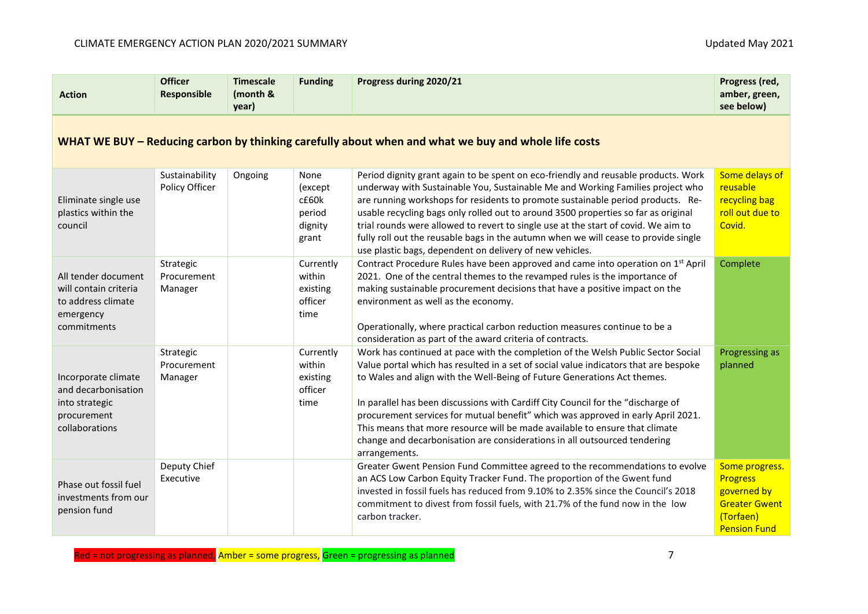| <b>Action</b>                                                                                       | <b>Officer</b><br>Responsible       | <b>Timescale</b><br>(month &<br>year) | <b>Funding</b>                                         | Progress during 2020/21                                                                                                                                                                                                                                                                                                                                                                                                                                                                                                                                                                                   | Progress (red,<br>amber, green,<br>see below)                                                                |  |  |  |
|-----------------------------------------------------------------------------------------------------|-------------------------------------|---------------------------------------|--------------------------------------------------------|-----------------------------------------------------------------------------------------------------------------------------------------------------------------------------------------------------------------------------------------------------------------------------------------------------------------------------------------------------------------------------------------------------------------------------------------------------------------------------------------------------------------------------------------------------------------------------------------------------------|--------------------------------------------------------------------------------------------------------------|--|--|--|
| WHAT WE BUY – Reducing carbon by thinking carefully about when and what we buy and whole life costs |                                     |                                       |                                                        |                                                                                                                                                                                                                                                                                                                                                                                                                                                                                                                                                                                                           |                                                                                                              |  |  |  |
| Eliminate single use<br>plastics within the<br>council                                              | Sustainability<br>Policy Officer    | Ongoing                               | None<br>(except<br>c£60k<br>period<br>dignity<br>grant | Period dignity grant again to be spent on eco-friendly and reusable products. Work<br>underway with Sustainable You, Sustainable Me and Working Families project who<br>are running workshops for residents to promote sustainable period products. Re-<br>usable recycling bags only rolled out to around 3500 properties so far as original<br>trial rounds were allowed to revert to single use at the start of covid. We aim to<br>fully roll out the reusable bags in the autumn when we will cease to provide single<br>use plastic bags, dependent on delivery of new vehicles.                    | Some delays of<br>reusable<br>recycling bag<br>roll out due to<br>Covid.                                     |  |  |  |
| All tender document<br>will contain criteria<br>to address climate<br>emergency<br>commitments      | Strategic<br>Procurement<br>Manager |                                       | Currently<br>within<br>existing<br>officer<br>time     | Contract Procedure Rules have been approved and came into operation on 1 <sup>st</sup> April<br>2021. One of the central themes to the revamped rules is the importance of<br>making sustainable procurement decisions that have a positive impact on the<br>environment as well as the economy.<br>Operationally, where practical carbon reduction measures continue to be a<br>consideration as part of the award criteria of contracts.                                                                                                                                                                | Complete                                                                                                     |  |  |  |
| Incorporate climate<br>and decarbonisation<br>into strategic<br>procurement<br>collaborations       | Strategic<br>Procurement<br>Manager |                                       | Currently<br>within<br>existing<br>officer<br>time     | Work has continued at pace with the completion of the Welsh Public Sector Social<br>Value portal which has resulted in a set of social value indicators that are bespoke<br>to Wales and align with the Well-Being of Future Generations Act themes.<br>In parallel has been discussions with Cardiff City Council for the "discharge of<br>procurement services for mutual benefit" which was approved in early April 2021.<br>This means that more resource will be made available to ensure that climate<br>change and decarbonisation are considerations in all outsourced tendering<br>arrangements. | Progressing as<br>planned                                                                                    |  |  |  |
| Phase out fossil fuel<br>investments from our<br>pension fund                                       | Deputy Chief<br>Executive           |                                       |                                                        | Greater Gwent Pension Fund Committee agreed to the recommendations to evolve<br>an ACS Low Carbon Equity Tracker Fund. The proportion of the Gwent fund<br>invested in fossil fuels has reduced from 9.10% to 2.35% since the Council's 2018<br>commitment to divest from fossil fuels, with 21.7% of the fund now in the low<br>carbon tracker.                                                                                                                                                                                                                                                          | Some progress.<br><b>Progress</b><br>governed by<br><b>Greater Gwent</b><br>(Torfaen)<br><b>Pension Fund</b> |  |  |  |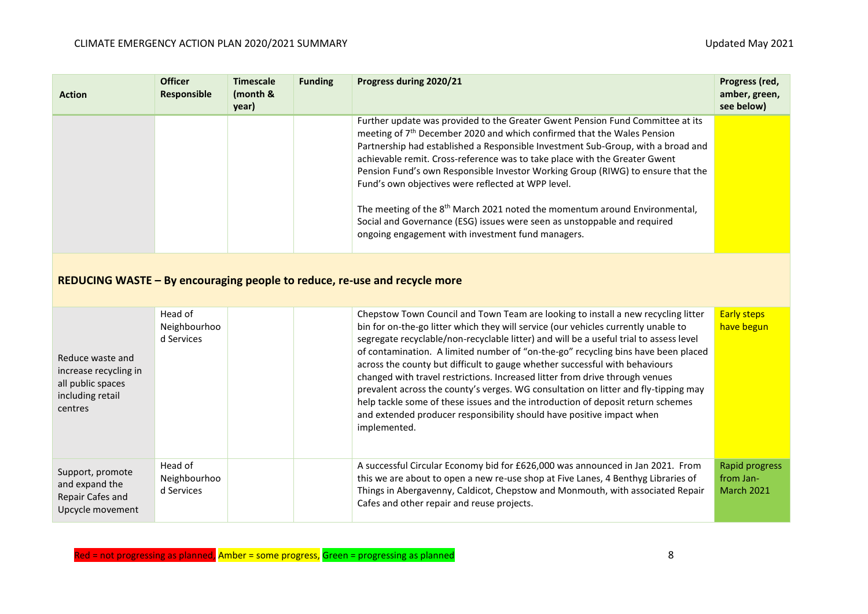| <b>Action</b> | <b>Officer</b><br>Responsible | <b>Timescale</b><br>(month &<br>year) | <b>Funding</b> | Progress during 2020/21                                                                                                                                                                                                                                                                                                                                                                                                                                                                                                                                                                                                                                                                                     | Progress (red,<br>amber, green,<br>see below) |
|---------------|-------------------------------|---------------------------------------|----------------|-------------------------------------------------------------------------------------------------------------------------------------------------------------------------------------------------------------------------------------------------------------------------------------------------------------------------------------------------------------------------------------------------------------------------------------------------------------------------------------------------------------------------------------------------------------------------------------------------------------------------------------------------------------------------------------------------------------|-----------------------------------------------|
|               |                               |                                       |                | Further update was provided to the Greater Gwent Pension Fund Committee at its<br>meeting of 7 <sup>th</sup> December 2020 and which confirmed that the Wales Pension<br>Partnership had established a Responsible Investment Sub-Group, with a broad and<br>achievable remit. Cross-reference was to take place with the Greater Gwent<br>Pension Fund's own Responsible Investor Working Group (RIWG) to ensure that the<br>Fund's own objectives were reflected at WPP level.<br>The meeting of the 8 <sup>th</sup> March 2021 noted the momentum around Environmental,<br>Social and Governance (ESG) issues were seen as unstoppable and required<br>ongoing engagement with investment fund managers. |                                               |
|               |                               |                                       |                |                                                                                                                                                                                                                                                                                                                                                                                                                                                                                                                                                                                                                                                                                                             |                                               |

# **REDUCING WASTE – By encouraging people to reduce, re-use and recycle more**

| Reduce waste and<br>increase recycling in<br>all public spaces<br>including retail<br>centres | Head of<br>Neighbourhoo<br>d Services | Chepstow Town Council and Town Team are looking to install a new recycling litter<br>bin for on-the-go litter which they will service (our vehicles currently unable to<br>segregate recyclable/non-recyclable litter) and will be a useful trial to assess level<br>of contamination. A limited number of "on-the-go" recycling bins have been placed<br>across the county but difficult to gauge whether successful with behaviours<br>changed with travel restrictions. Increased litter from drive through venues<br>prevalent across the county's verges. WG consultation on litter and fly-tipping may<br>help tackle some of these issues and the introduction of deposit return schemes<br>and extended producer responsibility should have positive impact when<br>implemented. | <b>Early steps</b><br>have begun                 |
|-----------------------------------------------------------------------------------------------|---------------------------------------|------------------------------------------------------------------------------------------------------------------------------------------------------------------------------------------------------------------------------------------------------------------------------------------------------------------------------------------------------------------------------------------------------------------------------------------------------------------------------------------------------------------------------------------------------------------------------------------------------------------------------------------------------------------------------------------------------------------------------------------------------------------------------------------|--------------------------------------------------|
| Support, promote<br>and expand the<br>Repair Cafes and<br>Upcycle movement                    | Head of<br>Neighbourhoo<br>d Services | A successful Circular Economy bid for £626,000 was announced in Jan 2021. From<br>this we are about to open a new re-use shop at Five Lanes, 4 Benthyg Libraries of<br>Things in Abergavenny, Caldicot, Chepstow and Monmouth, with associated Repair<br>Cafes and other repair and reuse projects.                                                                                                                                                                                                                                                                                                                                                                                                                                                                                      | Rapid progress<br>from Jan-<br><b>March 2021</b> |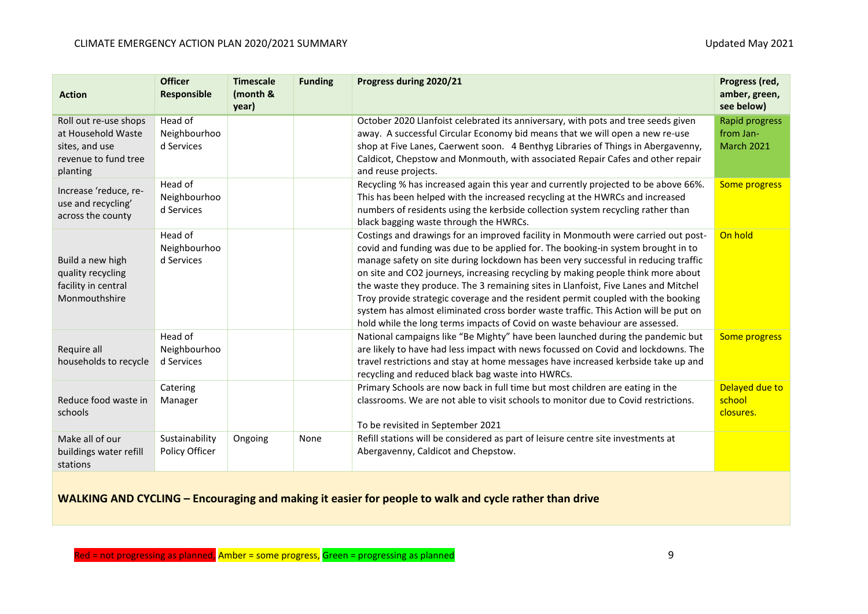| <b>Action</b>                                                                                     | <b>Officer</b><br><b>Responsible</b>  | <b>Timescale</b><br>(month &<br>year) | <b>Funding</b> | Progress during 2020/21                                                                                                                                                                                                                                                                                                                                                                                                                                                                                                                                                                                                                                                                         | Progress (red,<br>amber, green,<br>see below)    |
|---------------------------------------------------------------------------------------------------|---------------------------------------|---------------------------------------|----------------|-------------------------------------------------------------------------------------------------------------------------------------------------------------------------------------------------------------------------------------------------------------------------------------------------------------------------------------------------------------------------------------------------------------------------------------------------------------------------------------------------------------------------------------------------------------------------------------------------------------------------------------------------------------------------------------------------|--------------------------------------------------|
| Roll out re-use shops<br>at Household Waste<br>sites, and use<br>revenue to fund tree<br>planting | Head of<br>Neighbourhoo<br>d Services |                                       |                | October 2020 Llanfoist celebrated its anniversary, with pots and tree seeds given<br>away. A successful Circular Economy bid means that we will open a new re-use<br>shop at Five Lanes, Caerwent soon. 4 Benthyg Libraries of Things in Abergavenny,<br>Caldicot, Chepstow and Monmouth, with associated Repair Cafes and other repair<br>and reuse projects.                                                                                                                                                                                                                                                                                                                                  | Rapid progress<br>from Jan-<br><b>March 2021</b> |
| Increase 'reduce, re-<br>use and recycling'<br>across the county                                  | Head of<br>Neighbourhoo<br>d Services |                                       |                | Recycling % has increased again this year and currently projected to be above 66%.<br>This has been helped with the increased recycling at the HWRCs and increased<br>numbers of residents using the kerbside collection system recycling rather than<br>black bagging waste through the HWRCs.                                                                                                                                                                                                                                                                                                                                                                                                 | Some progress                                    |
| Build a new high<br>quality recycling<br>facility in central<br>Monmouthshire                     | Head of<br>Neighbourhoo<br>d Services |                                       |                | Costings and drawings for an improved facility in Monmouth were carried out post-<br>covid and funding was due to be applied for. The booking-in system brought in to<br>manage safety on site during lockdown has been very successful in reducing traffic<br>on site and CO2 journeys, increasing recycling by making people think more about<br>the waste they produce. The 3 remaining sites in Llanfoist, Five Lanes and Mitchel<br>Troy provide strategic coverage and the resident permit coupled with the booking<br>system has almost eliminated cross border waste traffic. This Action will be put on<br>hold while the long terms impacts of Covid on waste behaviour are assessed. | On hold                                          |
| Require all<br>households to recycle                                                              | Head of<br>Neighbourhoo<br>d Services |                                       |                | National campaigns like "Be Mighty" have been launched during the pandemic but<br>are likely to have had less impact with news focussed on Covid and lockdowns. The<br>travel restrictions and stay at home messages have increased kerbside take up and<br>recycling and reduced black bag waste into HWRCs.                                                                                                                                                                                                                                                                                                                                                                                   | Some progress                                    |
| Reduce food waste in<br>schools                                                                   | Catering<br>Manager                   |                                       |                | Primary Schools are now back in full time but most children are eating in the<br>classrooms. We are not able to visit schools to monitor due to Covid restrictions.<br>To be revisited in September 2021                                                                                                                                                                                                                                                                                                                                                                                                                                                                                        | Delayed due to<br>school<br>closures.            |
| Make all of our<br>buildings water refill<br>stations                                             | Sustainability<br>Policy Officer      | Ongoing                               | None           | Refill stations will be considered as part of leisure centre site investments at<br>Abergavenny, Caldicot and Chepstow.                                                                                                                                                                                                                                                                                                                                                                                                                                                                                                                                                                         |                                                  |

**WALKING AND CYCLING – Encouraging and making it easier for people to walk and cycle rather than drive**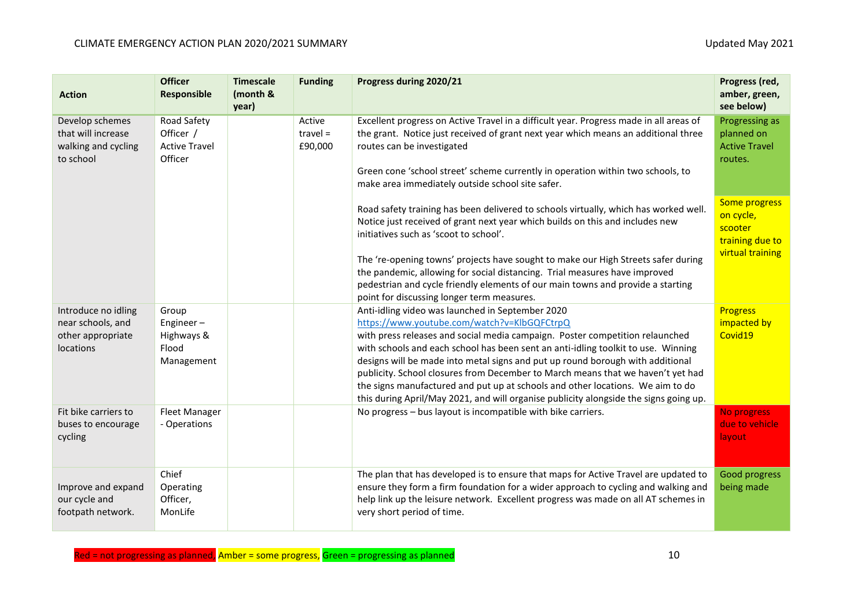| <b>Action</b>                                                              | <b>Officer</b><br><b>Responsible</b>                        | <b>Timescale</b><br>(month &<br>year) | <b>Funding</b>                  | Progress during 2020/21                                                                                                                                                                                                                                                                                                                                                                                                                                                                                                                                                                                              | Progress (red,<br>amber, green,<br>see below)                                |
|----------------------------------------------------------------------------|-------------------------------------------------------------|---------------------------------------|---------------------------------|----------------------------------------------------------------------------------------------------------------------------------------------------------------------------------------------------------------------------------------------------------------------------------------------------------------------------------------------------------------------------------------------------------------------------------------------------------------------------------------------------------------------------------------------------------------------------------------------------------------------|------------------------------------------------------------------------------|
| Develop schemes<br>that will increase<br>walking and cycling<br>to school  | Road Safety<br>Officer /<br><b>Active Travel</b><br>Officer |                                       | Active<br>$travel =$<br>£90,000 | Excellent progress on Active Travel in a difficult year. Progress made in all areas of<br>the grant. Notice just received of grant next year which means an additional three<br>routes can be investigated<br>Green cone 'school street' scheme currently in operation within two schools, to<br>make area immediately outside school site safer.                                                                                                                                                                                                                                                                    | Progressing as<br>planned on<br><b>Active Travel</b><br>routes.              |
|                                                                            |                                                             |                                       |                                 | Road safety training has been delivered to schools virtually, which has worked well.<br>Notice just received of grant next year which builds on this and includes new<br>initiatives such as 'scoot to school'.                                                                                                                                                                                                                                                                                                                                                                                                      | Some progress<br>on cycle,<br>scooter<br>training due to<br>virtual training |
|                                                                            |                                                             |                                       |                                 | The 're-opening towns' projects have sought to make our High Streets safer during<br>the pandemic, allowing for social distancing. Trial measures have improved<br>pedestrian and cycle friendly elements of our main towns and provide a starting<br>point for discussing longer term measures.                                                                                                                                                                                                                                                                                                                     |                                                                              |
| Introduce no idling<br>near schools, and<br>other appropriate<br>locations | Group<br>Engineer-<br>Highways &<br>Flood<br>Management     |                                       |                                 | Anti-idling video was launched in September 2020<br>https://www.youtube.com/watch?v=KlbGQFCtrpQ<br>with press releases and social media campaign. Poster competition relaunched<br>with schools and each school has been sent an anti-idling toolkit to use. Winning<br>designs will be made into metal signs and put up round borough with additional<br>publicity. School closures from December to March means that we haven't yet had<br>the signs manufactured and put up at schools and other locations. We aim to do<br>this during April/May 2021, and will organise publicity alongside the signs going up. | <b>Progress</b><br>impacted by<br>Covid19                                    |
| Fit bike carriers to<br>buses to encourage<br>cycling                      | <b>Fleet Manager</b><br>- Operations                        |                                       |                                 | No progress - bus layout is incompatible with bike carriers.                                                                                                                                                                                                                                                                                                                                                                                                                                                                                                                                                         | No progress<br>due to vehicle<br>layout                                      |
| Improve and expand<br>our cycle and<br>footpath network.                   | Chief<br>Operating<br>Officer,<br>MonLife                   |                                       |                                 | The plan that has developed is to ensure that maps for Active Travel are updated to<br>ensure they form a firm foundation for a wider approach to cycling and walking and<br>help link up the leisure network. Excellent progress was made on all AT schemes in<br>very short period of time.                                                                                                                                                                                                                                                                                                                        | Good progress<br>being made                                                  |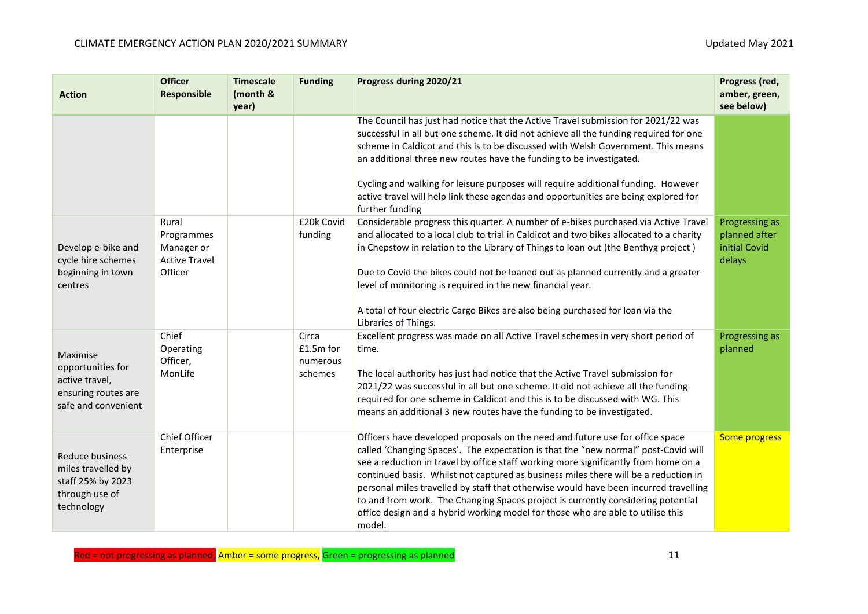| <b>Action</b>                                                                                | <b>Officer</b><br>Responsible                             | <b>Timescale</b><br>(month &<br>year) | <b>Funding</b>                                                                                                                                                                                                                                                                                                              | Progress during 2020/21                                                                                                                                                                                                                                                                                                                                                                                                                                                                                                       | Progress (red,<br>amber, green,<br>see below)              |
|----------------------------------------------------------------------------------------------|-----------------------------------------------------------|---------------------------------------|-----------------------------------------------------------------------------------------------------------------------------------------------------------------------------------------------------------------------------------------------------------------------------------------------------------------------------|-------------------------------------------------------------------------------------------------------------------------------------------------------------------------------------------------------------------------------------------------------------------------------------------------------------------------------------------------------------------------------------------------------------------------------------------------------------------------------------------------------------------------------|------------------------------------------------------------|
|                                                                                              |                                                           |                                       |                                                                                                                                                                                                                                                                                                                             | The Council has just had notice that the Active Travel submission for 2021/22 was<br>successful in all but one scheme. It did not achieve all the funding required for one<br>scheme in Caldicot and this is to be discussed with Welsh Government. This means<br>an additional three new routes have the funding to be investigated.<br>Cycling and walking for leisure purposes will require additional funding. However                                                                                                    |                                                            |
|                                                                                              |                                                           |                                       |                                                                                                                                                                                                                                                                                                                             | active travel will help link these agendas and opportunities are being explored for<br>further funding                                                                                                                                                                                                                                                                                                                                                                                                                        |                                                            |
| Develop e-bike and<br>cycle hire schemes                                                     | Rural<br>Programmes<br>Manager or<br><b>Active Travel</b> |                                       | £20k Covid<br>funding                                                                                                                                                                                                                                                                                                       | Considerable progress this quarter. A number of e-bikes purchased via Active Travel<br>and allocated to a local club to trial in Caldicot and two bikes allocated to a charity<br>in Chepstow in relation to the Library of Things to loan out (the Benthyg project)                                                                                                                                                                                                                                                          | Progressing as<br>planned after<br>initial Covid<br>delays |
| beginning in town<br>centres                                                                 | Officer                                                   |                                       |                                                                                                                                                                                                                                                                                                                             | Due to Covid the bikes could not be loaned out as planned currently and a greater<br>level of monitoring is required in the new financial year.                                                                                                                                                                                                                                                                                                                                                                               |                                                            |
|                                                                                              |                                                           |                                       |                                                                                                                                                                                                                                                                                                                             | A total of four electric Cargo Bikes are also being purchased for loan via the<br>Libraries of Things.                                                                                                                                                                                                                                                                                                                                                                                                                        |                                                            |
| Maximise                                                                                     | Chief<br>Operating<br>Officer,                            |                                       | Circa<br>£1.5m for<br>numerous                                                                                                                                                                                                                                                                                              | Excellent progress was made on all Active Travel schemes in very short period of<br>time.                                                                                                                                                                                                                                                                                                                                                                                                                                     | Progressing as<br>planned                                  |
| opportunities for<br>MonLife<br>active travel,<br>ensuring routes are<br>safe and convenient |                                                           | schemes                               | The local authority has just had notice that the Active Travel submission for<br>2021/22 was successful in all but one scheme. It did not achieve all the funding<br>required for one scheme in Caldicot and this is to be discussed with WG. This<br>means an additional 3 new routes have the funding to be investigated. |                                                                                                                                                                                                                                                                                                                                                                                                                                                                                                                               |                                                            |
| Reduce business<br>miles travelled by<br>staff 25% by 2023<br>through use of<br>technology   | Chief Officer<br>Enterprise                               |                                       |                                                                                                                                                                                                                                                                                                                             | Officers have developed proposals on the need and future use for office space<br>called 'Changing Spaces'. The expectation is that the "new normal" post-Covid will<br>see a reduction in travel by office staff working more significantly from home on a<br>continued basis. Whilst not captured as business miles there will be a reduction in<br>personal miles travelled by staff that otherwise would have been incurred travelling<br>to and from work. The Changing Spaces project is currently considering potential | Some progress                                              |
|                                                                                              |                                                           |                                       |                                                                                                                                                                                                                                                                                                                             | office design and a hybrid working model for those who are able to utilise this<br>model.                                                                                                                                                                                                                                                                                                                                                                                                                                     |                                                            |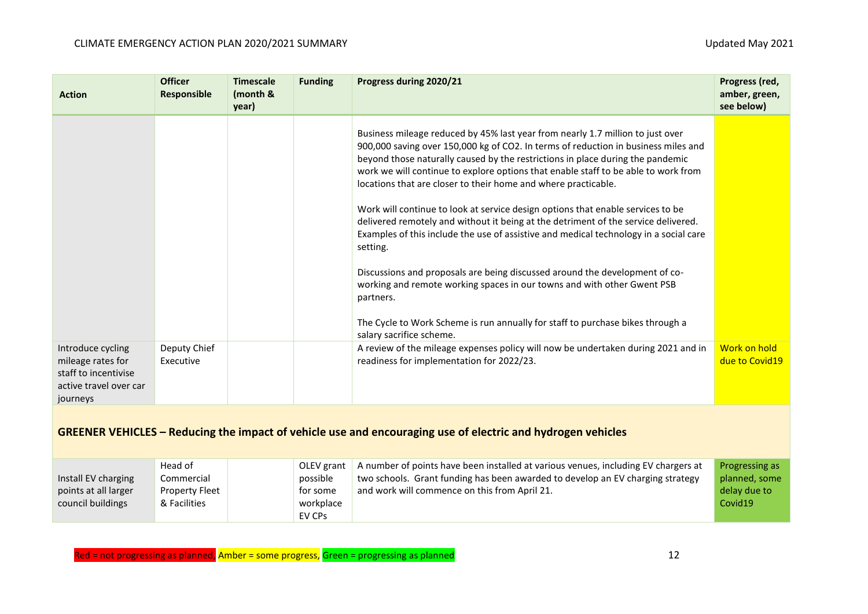| <b>Action</b>                                                                                                      | <b>Officer</b><br><b>Responsible</b> | <b>Timescale</b><br>(month &<br>year) | <b>Funding</b> | Progress during 2020/21                                                                                                                                                                                                                                                                                                                                                                                        | Progress (red,<br>amber, green,<br>see below) |  |
|--------------------------------------------------------------------------------------------------------------------|--------------------------------------|---------------------------------------|----------------|----------------------------------------------------------------------------------------------------------------------------------------------------------------------------------------------------------------------------------------------------------------------------------------------------------------------------------------------------------------------------------------------------------------|-----------------------------------------------|--|
|                                                                                                                    |                                      |                                       |                | Business mileage reduced by 45% last year from nearly 1.7 million to just over<br>900,000 saving over 150,000 kg of CO2. In terms of reduction in business miles and<br>beyond those naturally caused by the restrictions in place during the pandemic<br>work we will continue to explore options that enable staff to be able to work from<br>locations that are closer to their home and where practicable. |                                               |  |
|                                                                                                                    |                                      |                                       |                | Work will continue to look at service design options that enable services to be<br>delivered remotely and without it being at the detriment of the service delivered.<br>Examples of this include the use of assistive and medical technology in a social care<br>setting.                                                                                                                                     |                                               |  |
|                                                                                                                    |                                      |                                       |                | Discussions and proposals are being discussed around the development of co-<br>working and remote working spaces in our towns and with other Gwent PSB<br>partners.                                                                                                                                                                                                                                            |                                               |  |
|                                                                                                                    |                                      |                                       |                | The Cycle to Work Scheme is run annually for staff to purchase bikes through a<br>salary sacrifice scheme.                                                                                                                                                                                                                                                                                                     |                                               |  |
| Introduce cycling<br>mileage rates for<br>staff to incentivise<br>active travel over car<br>journeys               | Deputy Chief<br>Executive            |                                       |                | A review of the mileage expenses policy will now be undertaken during 2021 and in<br>readiness for implementation for 2022/23.                                                                                                                                                                                                                                                                                 | Work on hold<br>due to Covid19                |  |
| <b>GREENER VEHICLES – Reducing the impact of vehicle use and encouraging use of electric and hydrogen vehicles</b> |                                      |                                       |                |                                                                                                                                                                                                                                                                                                                                                                                                                |                                               |  |

|                      | Head of        | OLEV grant | A number of points have been installed at various venues, including EV chargers at | <b>Progressing as</b> |
|----------------------|----------------|------------|------------------------------------------------------------------------------------|-----------------------|
| Install EV charging  | Commercial     | possible   | two schools. Grant funding has been awarded to develop an EV charging strategy     | planned, some         |
| points at all larger | Property Fleet | for some   | and work will commence on this from April 21.                                      | delay due to          |
| council buildings    | & Facilities   | workplace  |                                                                                    | Covid19               |
|                      |                | EV CPs     |                                                                                    |                       |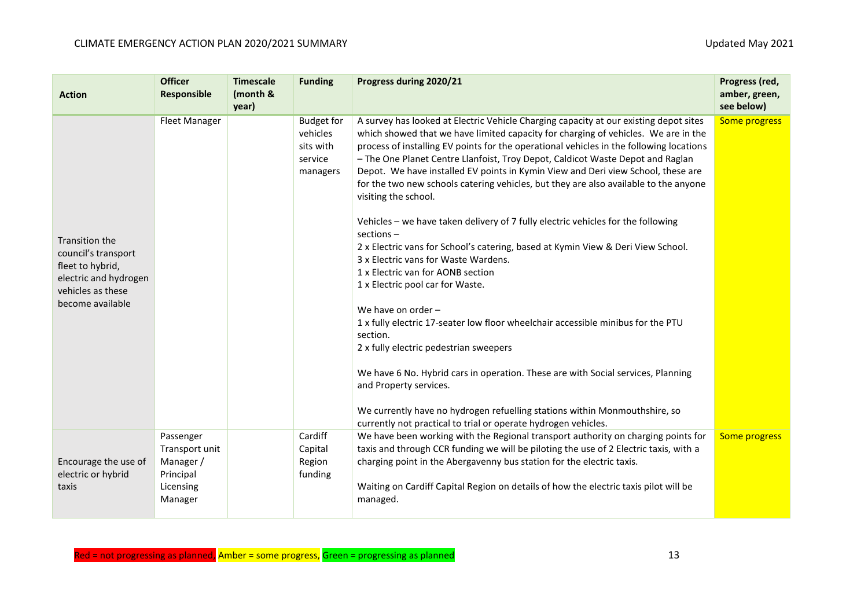| <b>Action</b>                                                                                                               | <b>Officer</b><br><b>Responsible</b>                                          | <b>Timescale</b><br>(month &<br>year) | <b>Funding</b>                                                    | Progress during 2020/21                                                                                                                                                                                                                                                                                                                                                                                                                                                                                                                                                                                                                                                                                                                                                                                                                                                                                                                                                                                                                                                                                                                                                                                                                                                                             | Progress (red,<br>amber, green,<br>see below) |
|-----------------------------------------------------------------------------------------------------------------------------|-------------------------------------------------------------------------------|---------------------------------------|-------------------------------------------------------------------|-----------------------------------------------------------------------------------------------------------------------------------------------------------------------------------------------------------------------------------------------------------------------------------------------------------------------------------------------------------------------------------------------------------------------------------------------------------------------------------------------------------------------------------------------------------------------------------------------------------------------------------------------------------------------------------------------------------------------------------------------------------------------------------------------------------------------------------------------------------------------------------------------------------------------------------------------------------------------------------------------------------------------------------------------------------------------------------------------------------------------------------------------------------------------------------------------------------------------------------------------------------------------------------------------------|-----------------------------------------------|
| Transition the<br>council's transport<br>fleet to hybrid,<br>electric and hydrogen<br>vehicles as these<br>become available | <b>Fleet Manager</b>                                                          |                                       | <b>Budget for</b><br>vehicles<br>sits with<br>service<br>managers | A survey has looked at Electric Vehicle Charging capacity at our existing depot sites<br>which showed that we have limited capacity for charging of vehicles. We are in the<br>process of installing EV points for the operational vehicles in the following locations<br>- The One Planet Centre Llanfoist, Troy Depot, Caldicot Waste Depot and Raglan<br>Depot. We have installed EV points in Kymin View and Deri view School, these are<br>for the two new schools catering vehicles, but they are also available to the anyone<br>visiting the school.<br>Vehicles - we have taken delivery of 7 fully electric vehicles for the following<br>$sections -$<br>2 x Electric vans for School's catering, based at Kymin View & Deri View School.<br>3 x Electric vans for Waste Wardens.<br>1 x Electric van for AONB section<br>1 x Electric pool car for Waste.<br>We have on order -<br>1 x fully electric 17-seater low floor wheelchair accessible minibus for the PTU<br>section.<br>2 x fully electric pedestrian sweepers<br>We have 6 No. Hybrid cars in operation. These are with Social services, Planning<br>and Property services.<br>We currently have no hydrogen refuelling stations within Monmouthshire, so<br>currently not practical to trial or operate hydrogen vehicles. | Some progress                                 |
| Encourage the use of<br>electric or hybrid<br>taxis                                                                         | Passenger<br>Transport unit<br>Manager /<br>Principal<br>Licensing<br>Manager |                                       | Cardiff<br>Capital<br>Region<br>funding                           | We have been working with the Regional transport authority on charging points for<br>taxis and through CCR funding we will be piloting the use of 2 Electric taxis, with a<br>charging point in the Abergavenny bus station for the electric taxis.<br>Waiting on Cardiff Capital Region on details of how the electric taxis pilot will be<br>managed.                                                                                                                                                                                                                                                                                                                                                                                                                                                                                                                                                                                                                                                                                                                                                                                                                                                                                                                                             | <b>Some progress</b>                          |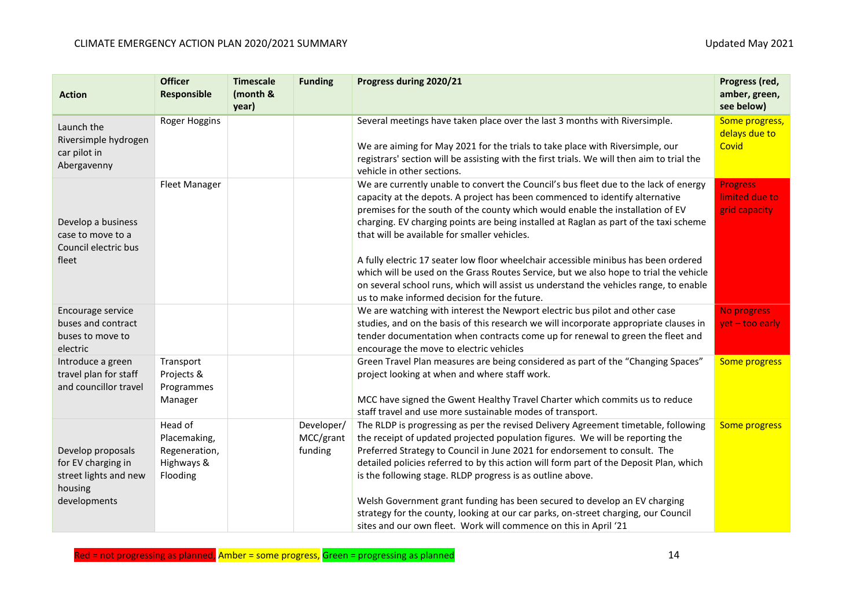| <b>Action</b>                                                               | <b>Officer</b><br>Responsible                                      | <b>Timescale</b><br>(month &<br>year) | <b>Funding</b>                     | Progress during 2020/21                                                                                                                                                                                                                                                                                                                                                                                                                                                                | Progress (red,<br>amber, green,<br>see below)      |
|-----------------------------------------------------------------------------|--------------------------------------------------------------------|---------------------------------------|------------------------------------|----------------------------------------------------------------------------------------------------------------------------------------------------------------------------------------------------------------------------------------------------------------------------------------------------------------------------------------------------------------------------------------------------------------------------------------------------------------------------------------|----------------------------------------------------|
| Launch the                                                                  | Roger Hoggins                                                      |                                       |                                    | Several meetings have taken place over the last 3 months with Riversimple.                                                                                                                                                                                                                                                                                                                                                                                                             | Some progress,<br>delays due to                    |
| Riversimple hydrogen<br>car pilot in<br>Abergavenny                         |                                                                    |                                       |                                    | We are aiming for May 2021 for the trials to take place with Riversimple, our<br>registrars' section will be assisting with the first trials. We will then aim to trial the<br>vehicle in other sections.                                                                                                                                                                                                                                                                              | Covid                                              |
| Develop a business<br>case to move to a<br>Council electric bus<br>fleet    | <b>Fleet Manager</b>                                               |                                       |                                    | We are currently unable to convert the Council's bus fleet due to the lack of energy<br>capacity at the depots. A project has been commenced to identify alternative<br>premises for the south of the county which would enable the installation of EV<br>charging. EV charging points are being installed at Raglan as part of the taxi scheme<br>that will be available for smaller vehicles.<br>A fully electric 17 seater low floor wheelchair accessible minibus has been ordered | <b>Progress</b><br>limited due to<br>grid capacity |
|                                                                             |                                                                    |                                       |                                    | which will be used on the Grass Routes Service, but we also hope to trial the vehicle<br>on several school runs, which will assist us understand the vehicles range, to enable<br>us to make informed decision for the future.                                                                                                                                                                                                                                                         |                                                    |
| Encourage service<br>buses and contract<br>buses to move to<br>electric     |                                                                    |                                       |                                    | We are watching with interest the Newport electric bus pilot and other case<br>studies, and on the basis of this research we will incorporate appropriate clauses in<br>tender documentation when contracts come up for renewal to green the fleet and<br>encourage the move to electric vehicles                                                                                                                                                                                      | No progress<br>yet - too early                     |
| Introduce a green<br>travel plan for staff<br>and councillor travel         | Transport<br>Projects &<br>Programmes                              |                                       |                                    | Green Travel Plan measures are being considered as part of the "Changing Spaces"<br>project looking at when and where staff work.                                                                                                                                                                                                                                                                                                                                                      | Some progress                                      |
|                                                                             | Manager                                                            |                                       |                                    | MCC have signed the Gwent Healthy Travel Charter which commits us to reduce<br>staff travel and use more sustainable modes of transport.                                                                                                                                                                                                                                                                                                                                               |                                                    |
| Develop proposals<br>for EV charging in<br>street lights and new<br>housing | Head of<br>Placemaking,<br>Regeneration,<br>Highways &<br>Flooding |                                       | Developer/<br>MCC/grant<br>funding | The RLDP is progressing as per the revised Delivery Agreement timetable, following<br>the receipt of updated projected population figures. We will be reporting the<br>Preferred Strategy to Council in June 2021 for endorsement to consult. The<br>detailed policies referred to by this action will form part of the Deposit Plan, which<br>is the following stage. RLDP progress is as outline above.                                                                              | Some progress                                      |
| developments                                                                |                                                                    |                                       |                                    | Welsh Government grant funding has been secured to develop an EV charging<br>strategy for the county, looking at our car parks, on-street charging, our Council<br>sites and our own fleet. Work will commence on this in April '21                                                                                                                                                                                                                                                    |                                                    |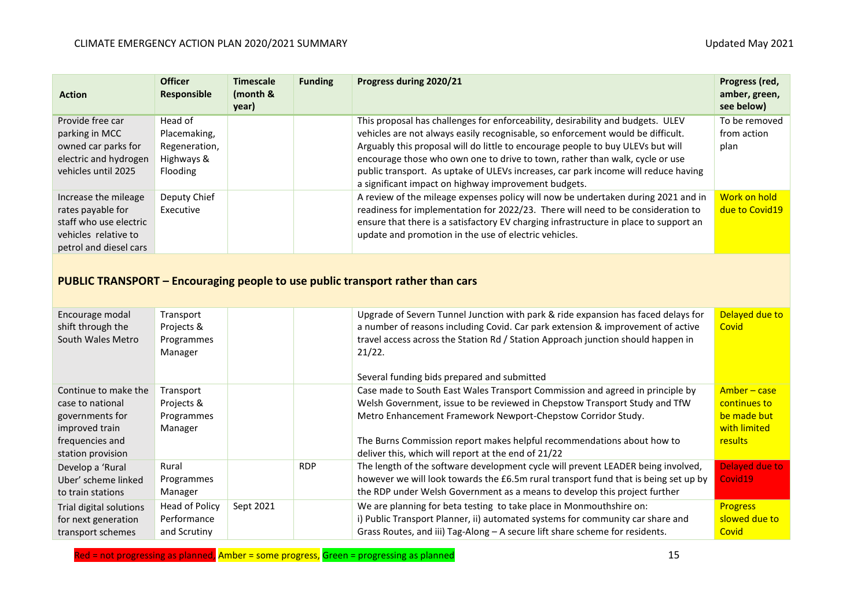| <b>Action</b>                                                                                                         | <b>Officer</b><br>Responsible                                      | <b>Timescale</b><br>(month &<br>year) | <b>Funding</b> | Progress during 2020/21                                                                                                                                                                                                                                                                                                                                                                                                                                                             | Progress (red,<br>amber, green,<br>see below) |
|-----------------------------------------------------------------------------------------------------------------------|--------------------------------------------------------------------|---------------------------------------|----------------|-------------------------------------------------------------------------------------------------------------------------------------------------------------------------------------------------------------------------------------------------------------------------------------------------------------------------------------------------------------------------------------------------------------------------------------------------------------------------------------|-----------------------------------------------|
| Provide free car<br>parking in MCC<br>owned car parks for<br>electric and hydrogen<br>vehicles until 2025             | Head of<br>Placemaking,<br>Regeneration,<br>Highways &<br>Flooding |                                       |                | This proposal has challenges for enforceability, desirability and budgets. ULEV<br>vehicles are not always easily recognisable, so enforcement would be difficult.<br>Arguably this proposal will do little to encourage people to buy ULEVs but will<br>encourage those who own one to drive to town, rather than walk, cycle or use<br>public transport. As uptake of ULEVs increases, car park income will reduce having<br>a significant impact on highway improvement budgets. | To be removed<br>from action<br>plan          |
| Increase the mileage<br>rates payable for<br>staff who use electric<br>vehicles relative to<br>petrol and diesel cars | Deputy Chief<br>Executive                                          |                                       |                | A review of the mileage expenses policy will now be undertaken during 2021 and in<br>readiness for implementation for 2022/23. There will need to be consideration to<br>ensure that there is a satisfactory EV charging infrastructure in place to support an<br>update and promotion in the use of electric vehicles.                                                                                                                                                             | Work on hold<br>due to Covid19                |

## **PUBLIC TRANSPORT – Encouraging people to use public transport rather than cars**

| Encourage modal<br>shift through the<br>South Wales Metro | Transport<br>Projects &<br>Programmes<br>Manager |           |            | Upgrade of Severn Tunnel Junction with park & ride expansion has faced delays for<br>a number of reasons including Covid. Car park extension & improvement of active<br>travel access across the Station Rd / Station Approach junction should happen in<br>21/22. | Delayed due to<br>Covid |
|-----------------------------------------------------------|--------------------------------------------------|-----------|------------|--------------------------------------------------------------------------------------------------------------------------------------------------------------------------------------------------------------------------------------------------------------------|-------------------------|
|                                                           |                                                  |           |            | Several funding bids prepared and submitted                                                                                                                                                                                                                        |                         |
| Continue to make the                                      | Transport                                        |           |            | Case made to South East Wales Transport Commission and agreed in principle by                                                                                                                                                                                      | Amber – case            |
| case to national                                          | Projects &                                       |           |            | Welsh Government, issue to be reviewed in Chepstow Transport Study and TfW                                                                                                                                                                                         | continues to            |
| governments for                                           | Programmes                                       |           |            | Metro Enhancement Framework Newport-Chepstow Corridor Study.                                                                                                                                                                                                       | be made but             |
| improved train                                            | Manager                                          |           |            |                                                                                                                                                                                                                                                                    | with limited            |
| frequencies and                                           |                                                  |           |            | The Burns Commission report makes helpful recommendations about how to                                                                                                                                                                                             | results                 |
| station provision                                         |                                                  |           |            | deliver this, which will report at the end of 21/22                                                                                                                                                                                                                |                         |
| Develop a 'Rural                                          | Rural                                            |           | <b>RDP</b> | The length of the software development cycle will prevent LEADER being involved,                                                                                                                                                                                   | Delayed due to          |
| Uber' scheme linked                                       | Programmes                                       |           |            | however we will look towards the £6.5m rural transport fund that is being set up by                                                                                                                                                                                | Covid19                 |
| to train stations                                         | Manager                                          |           |            | the RDP under Welsh Government as a means to develop this project further                                                                                                                                                                                          |                         |
| Trial digital solutions                                   | Head of Policy                                   | Sept 2021 |            | We are planning for beta testing to take place in Monmouthshire on:                                                                                                                                                                                                | <b>Progress</b>         |
| for next generation                                       | Performance                                      |           |            | i) Public Transport Planner, ii) automated systems for community car share and                                                                                                                                                                                     | slowed due to           |
| transport schemes                                         | and Scrutiny                                     |           |            | Grass Routes, and iii) Tag-Along - A secure lift share scheme for residents.                                                                                                                                                                                       | Covid                   |

Red = not progressing as planned, <mark>Amber = some progress, Green = progressing as planned</mark> 15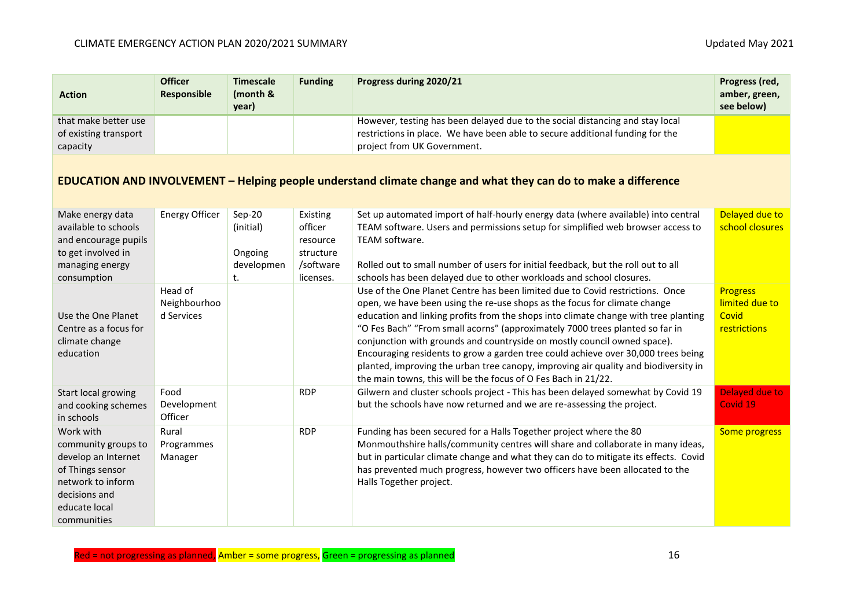| <b>Action</b>                                                                                                                                     | <b>Officer</b><br><b>Responsible</b>  | <b>Timescale</b><br>(month &<br>year)              | <b>Funding</b>                                                         | Progress during 2020/21                                                                                                                                                                                                                                                                                                                                                                                                                                                                                                                                                                                                                                     | Progress (red,<br>amber, green,<br>see below)              |  |  |
|---------------------------------------------------------------------------------------------------------------------------------------------------|---------------------------------------|----------------------------------------------------|------------------------------------------------------------------------|-------------------------------------------------------------------------------------------------------------------------------------------------------------------------------------------------------------------------------------------------------------------------------------------------------------------------------------------------------------------------------------------------------------------------------------------------------------------------------------------------------------------------------------------------------------------------------------------------------------------------------------------------------------|------------------------------------------------------------|--|--|
| that make better use<br>of existing transport<br>capacity                                                                                         |                                       |                                                    |                                                                        | However, testing has been delayed due to the social distancing and stay local<br>restrictions in place. We have been able to secure additional funding for the<br>project from UK Government.                                                                                                                                                                                                                                                                                                                                                                                                                                                               |                                                            |  |  |
| EDUCATION AND INVOLVEMENT – Helping people understand climate change and what they can do to make a difference                                    |                                       |                                                    |                                                                        |                                                                                                                                                                                                                                                                                                                                                                                                                                                                                                                                                                                                                                                             |                                                            |  |  |
| Make energy data<br>available to schools<br>and encourage pupils<br>to get involved in<br>managing energy<br>consumption                          | <b>Energy Officer</b>                 | Sep-20<br>(initial)<br>Ongoing<br>developmen<br>t. | Existing<br>officer<br>resource<br>structure<br>/software<br>licenses. | Set up automated import of half-hourly energy data (where available) into central<br>TEAM software. Users and permissions setup for simplified web browser access to<br>TEAM software.<br>Rolled out to small number of users for initial feedback, but the roll out to all<br>schools has been delayed due to other workloads and school closures.                                                                                                                                                                                                                                                                                                         | Delayed due to<br>school closures                          |  |  |
| Use the One Planet<br>Centre as a focus for<br>climate change<br>education                                                                        | Head of<br>Neighbourhoo<br>d Services |                                                    |                                                                        | Use of the One Planet Centre has been limited due to Covid restrictions. Once<br>open, we have been using the re-use shops as the focus for climate change<br>education and linking profits from the shops into climate change with tree planting<br>"O Fes Bach" "From small acorns" (approximately 7000 trees planted so far in<br>conjunction with grounds and countryside on mostly council owned space).<br>Encouraging residents to grow a garden tree could achieve over 30,000 trees being<br>planted, improving the urban tree canopy, improving air quality and biodiversity in<br>the main towns, this will be the focus of O Fes Bach in 21/22. | <b>Progress</b><br>limited due to<br>Covid<br>restrictions |  |  |
| Start local growing<br>and cooking schemes<br>in schools                                                                                          | Food<br>Development<br>Officer        |                                                    | <b>RDP</b>                                                             | Gilwern and cluster schools project - This has been delayed somewhat by Covid 19<br>but the schools have now returned and we are re-assessing the project.                                                                                                                                                                                                                                                                                                                                                                                                                                                                                                  | <b>Delayed due to</b><br>Covid 19                          |  |  |
| Work with<br>community groups to<br>develop an Internet<br>of Things sensor<br>network to inform<br>decisions and<br>educate local<br>communities | Rural<br>Programmes<br>Manager        |                                                    | <b>RDP</b>                                                             | Funding has been secured for a Halls Together project where the 80<br>Monmouthshire halls/community centres will share and collaborate in many ideas,<br>but in particular climate change and what they can do to mitigate its effects. Covid<br>has prevented much progress, however two officers have been allocated to the<br>Halls Together project.                                                                                                                                                                                                                                                                                                    | Some progress                                              |  |  |